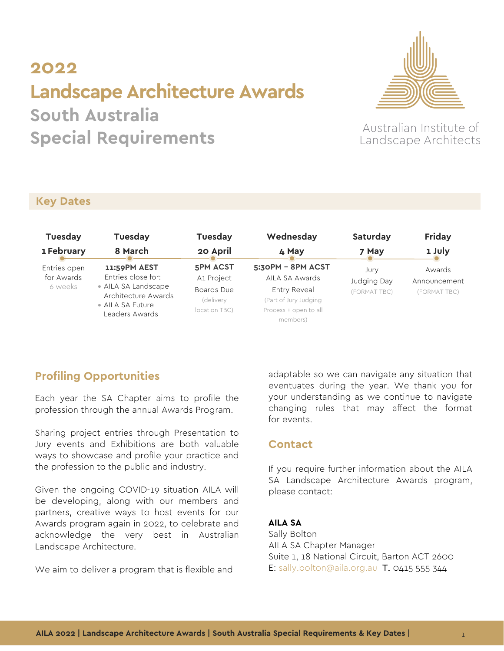# **2022 Landscape Architecture Awards South Australia**

**Special Requirements** 



Australian Institute of Landscape Architects

#### **Key Dates**

| Tuesday                               | Tuesday                                                                                                                | Tuesday                                                                    | Wednesday                                                                                                         | Saturday                            | <b>Friday</b>                          |
|---------------------------------------|------------------------------------------------------------------------------------------------------------------------|----------------------------------------------------------------------------|-------------------------------------------------------------------------------------------------------------------|-------------------------------------|----------------------------------------|
| 1 February                            | 8 March                                                                                                                | 20 April                                                                   | 4 May                                                                                                             | 7 May                               | 1 July                                 |
| Entries open<br>for Awards<br>6 weeks | 11:59PM AEST<br>Entries close for:<br>• AILA SA Landscape<br>Architecture Awards<br>• AILA SA Future<br>Leaders Awards | <b>5PM ACST</b><br>A1 Project<br>Boards Due<br>(delivery)<br>location TBC) | 5:30PM - 8PM ACST<br>AILA SA Awards<br>Entry Reveal<br>(Part of Jury Judging<br>Process + open to all<br>members) | Jury<br>Judging Day<br>(FORMAT TBC) | Awards<br>Announcement<br>(FORMAT TBC) |

# **Profiling Opportunities**

Each year the SA Chapter aims to profile the profession through the annual Awards Program.

Sharing project entries through Presentation to Jury events and Exhibitions are both valuable ways to showcase and profile your practice and the profession to the public and industry.

Given the ongoing COVID-19 situation AILA will be developing, along with our members and partners, creative ways to host events for our Awards program again in 2022, to celebrate and acknowledge the very best in Australian Landscape Architecture.

We aim to deliver a program that is flexible and

adaptable so we can navigate any situation that eventuates during the year. We thank you for your understanding as we continue to navigate changing rules that may affect the format for events.

#### **Contact**

If you require further information about the AILA SA Landscape Architecture Awards program, please contact:

#### **AILA SA**

Sally Bolton AILA SA Chapter Manager Suite 1, 18 National Circuit, Barton ACT 2600 E: [sally.bolton@aila.org.au](mailto:sally.bolton@aila.org.au) T. 0415 555 344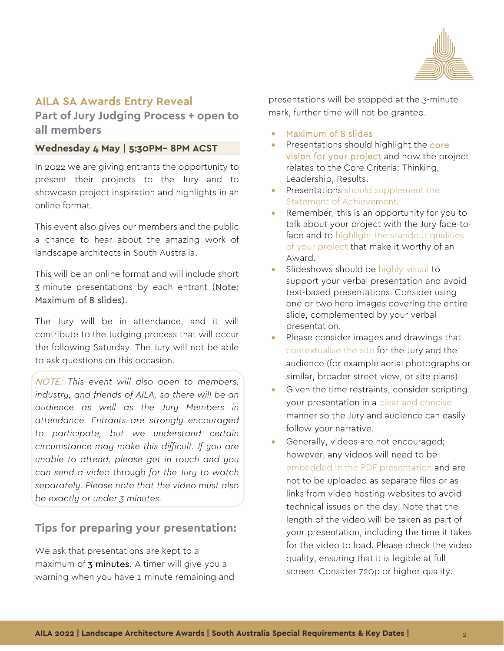

### **AILA SA Awards Entry Reveal**

**Part of Jury Judging Process + open to all members**

#### **Wednesday 4 May | 5:30PM– 8PM ACST**

In 2022 we are giving entrants the opportunity to present their projects to the Jury and to showcase project inspiration and highlights in an online format.

This event also gives our members and the public a chance to hear about the amazing work of landscape architects in South Australia.

This will be an online format and will include short 3-minute presentations by each entrant (Note: Maximum of 8 slides).

The Jury will be in attendance, and it will contribute to the Judging process that will occur the following Saturday. The Jury will not be able to ask questions on this occasion.

NOTE: *This event will also open to members, industry, and friends of AILA, so there will be an audience as well as the Jury Members in attendance. Entrants are strongly encouraged to participate, but we understand certain circumstance may make this difficult. If you are unable to attend, please get in touch and you can send a video* through *for the Jury to watch separately. Please note that the video must also be exactly or under 3 minutes.* 

# **Tips for preparing your presentation:**

We ask that presentations are kept to a maximum of **3 minutes.** A timer will give you a warning when you have 1-minute remaining and presentations will be stopped at the 3-minute mark, further time will not be granted.

- Maximum of 8 slides
- Presentations should highlight the core vision for your project and how the project relates to the Core Criteria: Thinking, Leadership, Results.
- Presentations should supplement the Statement of Achievement.
- Remember, this is an opportunity for you to talk about your project with the Jury face-toface and to highlight the standout qualities of your project that make it worthy of an Award.
- Slideshows should be highly visual to support your verbal presentation and avoid text-based presentations. Consider using one or two hero images covering the entire slide, complemented by your verbal presentation.
- Please consider images and drawings that contextualise the site for the Jury and the audience (for example aerial photographs or similar, broader street view, or site plans).
- Given the time restraints, consider scripting your presentation in a clear and concise manner so the Jury and audience can easily follow your narrative.
- Generally, videos are not encouraged; however, any videos will need to be embedded in the PDF presentation and are not to be uploaded as separate files or as links from video hosting websites to avoid technical issues on the day. Note that the length of the video will be taken as part of your presentation, including the time it takes for the video to load. Please check the video quality, ensuring that it is legible at full screen. Consider 720p or higher quality.